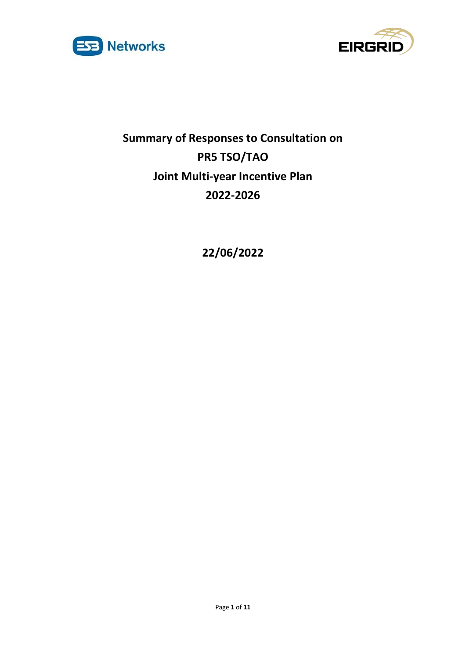



# **Summary of Responses to Consultation on PR5 TSO/TAO Joint Multi-year Incentive Plan 2022-2026**

**22/06/2022**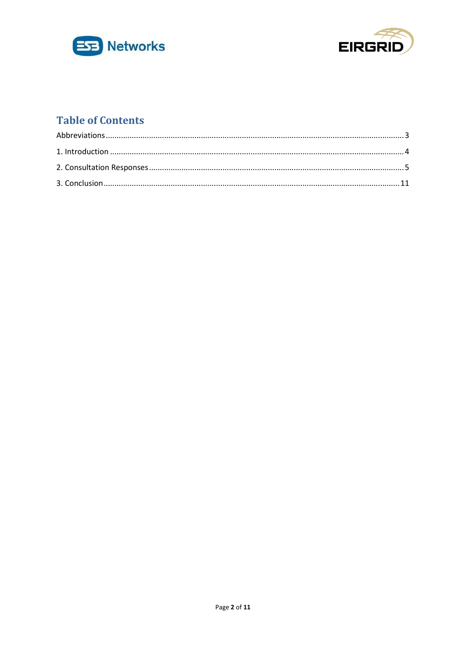



# **Table of Contents**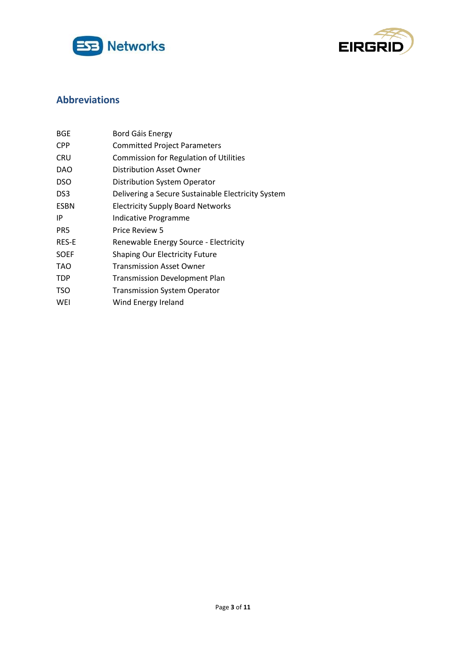



# <span id="page-2-0"></span>**Abbreviations**

| BGE             | Bord Gáis Energy                                   |
|-----------------|----------------------------------------------------|
| <b>CPP</b>      | <b>Committed Project Parameters</b>                |
| CRU             | <b>Commission for Regulation of Utilities</b>      |
| <b>DAO</b>      | Distribution Asset Owner                           |
| <b>DSO</b>      | Distribution System Operator                       |
| DS <sub>3</sub> | Delivering a Secure Sustainable Electricity System |
| <b>ESBN</b>     | <b>Electricity Supply Board Networks</b>           |
| ΙP              | Indicative Programme                               |
| PR5             | Price Review 5                                     |
| RES-E           | Renewable Energy Source - Electricity              |
| <b>SOEF</b>     | <b>Shaping Our Electricity Future</b>              |
| TAO             | Transmission Asset Owner                           |
| TDP             | <b>Transmission Development Plan</b>               |
| TSO             | <b>Transmission System Operator</b>                |
| WEI             | Wind Energy Ireland                                |
|                 |                                                    |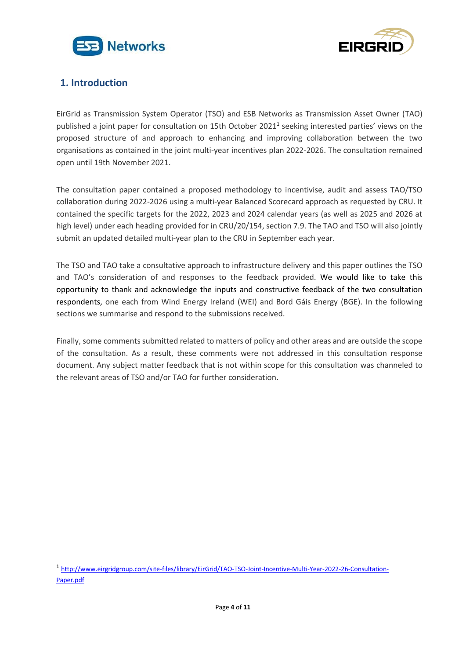



## <span id="page-3-0"></span>**1. Introduction**

EirGrid as Transmission System Operator (TSO) and ESB Networks as Transmission Asset Owner (TAO) published a joint paper for consultation on 15th October 2021<sup>1</sup> seeking interested parties' views on the proposed structure of and approach to enhancing and improving collaboration between the two organisations as contained in the joint multi-year incentives plan 2022-2026. The consultation remained open until 19th November 2021.

The consultation paper contained a proposed methodology to incentivise, audit and assess TAO/TSO collaboration during 2022-2026 using a multi-year Balanced Scorecard approach as requested by CRU. It contained the specific targets for the 2022, 2023 and 2024 calendar years (as well as 2025 and 2026 at high level) under each heading provided for in CRU/20/154, section 7.9. The TAO and TSO will also jointly submit an updated detailed multi-year plan to the CRU in September each year.

The TSO and TAO take a consultative approach to infrastructure delivery and this paper outlines the TSO and TAO's consideration of and responses to the feedback provided. We would like to take this opportunity to thank and acknowledge the inputs and constructive feedback of the two consultation respondents, one each from Wind Energy Ireland (WEI) and Bord Gáis Energy (BGE). In the following sections we summarise and respond to the submissions received.

Finally, some comments submitted related to matters of policy and other areas and are outside the scope of the consultation. As a result, these comments were not addressed in this consultation response document. Any subject matter feedback that is not within scope for this consultation was channeled to the relevant areas of TSO and/or TAO for further consideration.

<sup>1</sup> [http://www.eirgridgroup.com/site-files/library/EirGrid/TAO-TSO-Joint-Incentive-Multi-Year-2022-26-Consultation-](http://www.eirgridgroup.com/site-files/library/EirGrid/TAO-TSO-Joint-Incentive-Multi-Year-2022-26-Consultation-Paper.pdf)[Paper.pdf](http://www.eirgridgroup.com/site-files/library/EirGrid/TAO-TSO-Joint-Incentive-Multi-Year-2022-26-Consultation-Paper.pdf)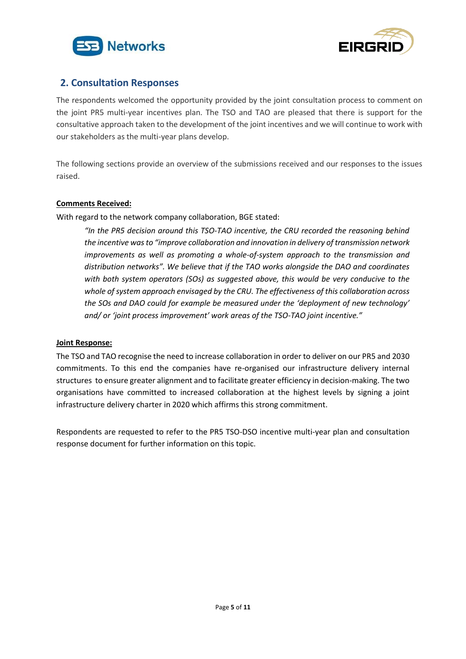



### <span id="page-4-0"></span>**2. Consultation Responses**

The respondents welcomed the opportunity provided by the joint consultation process to comment on the joint PR5 multi-year incentives plan. The TSO and TAO are pleased that there is support for the consultative approach taken to the development of the joint incentives and we will continue to work with our stakeholders as the multi-year plans develop.

The following sections provide an overview of the submissions received and our responses to the issues raised.

#### **Comments Received:**

With regard to the network company collaboration, BGE stated:

*"In the PR5 decision around this TSO-TAO incentive, the CRU recorded the reasoning behind the incentive wasto "improve collaboration and innovation in delivery of transmission network improvements as well as promoting a whole-of-system approach to the transmission and distribution networks". We believe that if the TAO works alongside the DAO and coordinates with both system operators (SOs) as suggested above, this would be very conducive to the whole of system approach envisaged by the CRU. The effectiveness of this collaboration across the SOs and DAO could for example be measured under the 'deployment of new technology' and/ or 'joint process improvement' work areas of the TSO-TAO joint incentive."*

#### **Joint Response:**

The TSO and TAO recognise the need to increase collaboration in order to deliver on our PR5 and 2030 commitments. To this end the companies have re-organised our infrastructure delivery internal structures to ensure greater alignment and to facilitate greater efficiency in decision-making. The two organisations have committed to increased collaboration at the highest levels by signing a joint infrastructure delivery charter in 2020 which affirms this strong commitment.

Respondents are requested to refer to the PR5 TSO-DSO incentive multi-year plan and consultation response document for further information on this topic.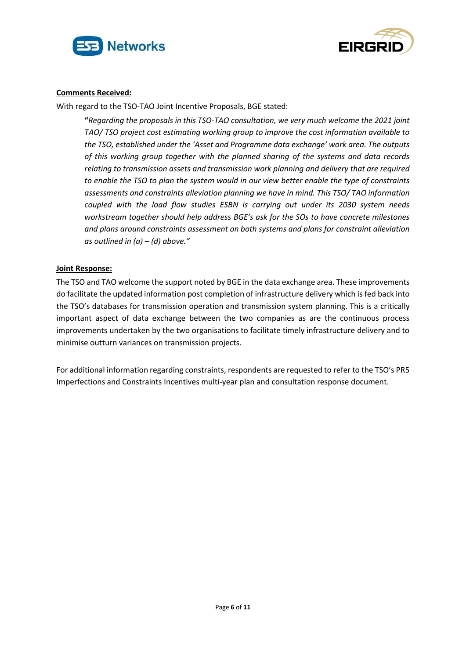



With regard to the TSO-TAO Joint Incentive Proposals, BGE stated:

**"***Regarding the proposals in this TSO-TAO consultation, we very much welcome the 2021 joint TAO/ TSO project cost estimating working group to improve the cost information available to the TSO, established under the 'Asset and Programme data exchange' work area. The outputs of this working group together with the planned sharing of the systems and data records relating to transmission assets and transmission work planning and delivery that are required to enable the TSO to plan the system would in our view better enable the type of constraints assessments and constraints alleviation planning we have in mind. This TSO/ TAO information coupled with the load flow studies ESBN is carrying out under its 2030 system needs workstream together should help address BGE's ask for the SOs to have concrete milestones and plans around constraints assessment on both systems and plans for constraint alleviation as outlined in (a) – (d) above."*

#### **Joint Response:**

The TSO and TAO welcome the support noted by BGE in the data exchange area. These improvements do facilitate the updated information post completion of infrastructure delivery which is fed back into the TSO's databases for transmission operation and transmission system planning. This is a critically important aspect of data exchange between the two companies as are the continuous process improvements undertaken by the two organisations to facilitate timely infrastructure delivery and to minimise outturn variances on transmission projects.

For additional information regarding constraints, respondents are requested to refer to the TSO's PR5 Imperfections and Constraints Incentives multi-year plan and consultation response document.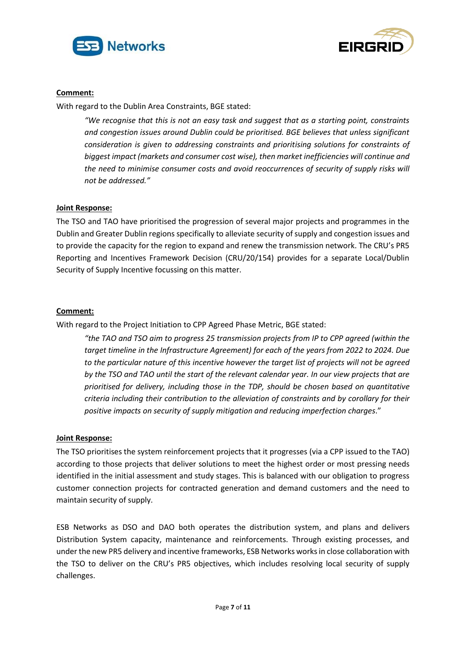



#### **Comment:**

With regard to the Dublin Area Constraints, BGE stated:

*"We recognise that this is not an easy task and suggest that as a starting point, constraints and congestion issues around Dublin could be prioritised. BGE believes that unless significant consideration is given to addressing constraints and prioritising solutions for constraints of biggest impact (markets and consumer cost wise), then market inefficiencies will continue and the need to minimise consumer costs and avoid reoccurrences of security of supply risks will not be addressed."*

#### **Joint Response:**

The TSO and TAO have prioritised the progression of several major projects and programmes in the Dublin and Greater Dublin regions specifically to alleviate security of supply and congestion issues and to provide the capacity for the region to expand and renew the transmission network. The CRU's PR5 Reporting and Incentives Framework Decision (CRU/20/154) provides for a separate Local/Dublin Security of Supply Incentive focussing on this matter.

#### **Comment:**

With regard to the Project Initiation to CPP Agreed Phase Metric, BGE stated:

*"the TAO and TSO aim to progress 25 transmission projects from IP to CPP agreed (within the target timeline in the Infrastructure Agreement) for each of the years from 2022 to 2024. Due to the particular nature of this incentive however the target list of projects will not be agreed by the TSO and TAO until the start of the relevant calendar year. In our view projects that are prioritised for delivery, including those in the TDP, should be chosen based on quantitative criteria including their contribution to the alleviation of constraints and by corollary for their positive impacts on security of supply mitigation and reducing imperfection charges*."

#### **Joint Response:**

The TSO prioritises the system reinforcement projects that it progresses (via a CPP issued to the TAO) according to those projects that deliver solutions to meet the highest order or most pressing needs identified in the initial assessment and study stages. This is balanced with our obligation to progress customer connection projects for contracted generation and demand customers and the need to maintain security of supply.

ESB Networks as DSO and DAO both operates the distribution system, and plans and delivers Distribution System capacity, maintenance and reinforcements. Through existing processes, and under the new PR5 delivery and incentive frameworks, ESB Networks works in close collaboration with the TSO to deliver on the CRU's PR5 objectives, which includes resolving local security of supply challenges.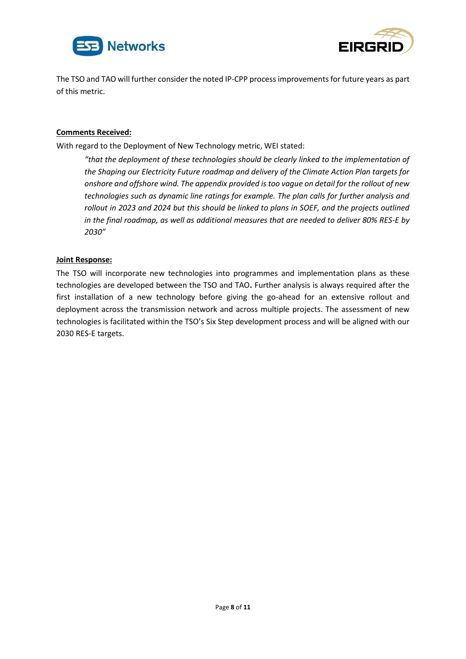



The TSO and TAO will further consider the noted IP-CPP process improvements for future years as part of this metric.

#### **Comments Received:**

With regard to the Deployment of New Technology metric, WEI stated:

*"that the deployment of these technologies should be clearly linked to the implementation of the Shaping our Electricity Future roadmap and delivery of the Climate Action Plan targets for onshore and offshore wind. The appendix provided is too vague on detail for the rollout of new technologies such as dynamic line ratings for example. The plan calls for further analysis and rollout in 2023 and 2024 but this should be linked to plans in SOEF, and the projects outlined in the final roadmap, as well as additional measures that are needed to deliver 80% RES-E by 2030"*

#### **Joint Response:**

The TSO will incorporate new technologies into programmes and implementation plans as these technologies are developed between the TSO and TAO**.** Further analysis is always required after the first installation of a new technology before giving the go-ahead for an extensive rollout and deployment across the transmission network and across multiple projects. The assessment of new technologies is facilitated within the TSO's Six Step development process and will be aligned with our 2030 RES-E targets.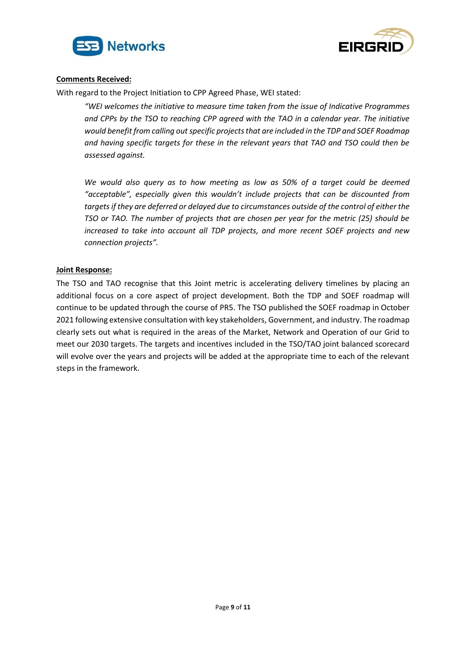



With regard to the Project Initiation to CPP Agreed Phase, WEI stated:

*"WEI welcomes the initiative to measure time taken from the issue of Indicative Programmes and CPPs by the TSO to reaching CPP agreed with the TAO in a calendar year. The initiative would benefit from calling out specific projects that are included in the TDP and SOEF Roadmap and having specific targets for these in the relevant years that TAO and TSO could then be assessed against.* 

*We would also query as to how meeting as low as 50% of a target could be deemed "acceptable", especially given this wouldn't include projects that can be discounted from targets if they are deferred or delayed due to circumstances outside of the control of either the TSO or TAO. The number of projects that are chosen per year for the metric (25) should be increased to take into account all TDP projects, and more recent SOEF projects and new connection projects".*

#### **Joint Response:**

The TSO and TAO recognise that this Joint metric is accelerating delivery timelines by placing an additional focus on a core aspect of project development. Both the TDP and SOEF roadmap will continue to be updated through the course of PR5. The TSO published the SOEF roadmap in October 2021 following extensive consultation with key stakeholders, Government, and industry. The roadmap clearly sets out what is required in the areas of the Market, Network and Operation of our Grid to meet our 2030 targets. The targets and incentives included in the TSO/TAO joint balanced scorecard will evolve over the years and projects will be added at the appropriate time to each of the relevant steps in the framework.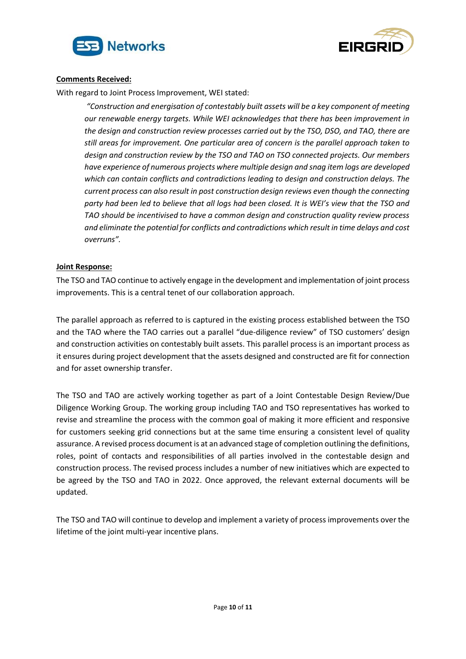



With regard to Joint Process Improvement, WEI stated:

*"Construction and energisation of contestably built assets will be a key component of meeting our renewable energy targets. While WEI acknowledges that there has been improvement in the design and construction review processes carried out by the TSO, DSO, and TAO, there are still areas for improvement. One particular area of concern is the parallel approach taken to design and construction review by the TSO and TAO on TSO connected projects. Our members have experience of numerous projects where multiple design and snag item logs are developed which can contain conflicts and contradictions leading to design and construction delays. The current process can also result in post construction design reviews even though the connecting party had been led to believe that all logs had been closed. It is WEI's view that the TSO and TAO should be incentivised to have a common design and construction quality review process and eliminate the potential for conflicts and contradictions which result in time delays and cost overruns".*

#### **Joint Response:**

The TSO and TAO continue to actively engage in the development and implementation of joint process improvements. This is a central tenet of our collaboration approach.

The parallel approach as referred to is captured in the existing process established between the TSO and the TAO where the TAO carries out a parallel "due-diligence review" of TSO customers' design and construction activities on contestably built assets. This parallel process is an important process as it ensures during project development that the assets designed and constructed are fit for connection and for asset ownership transfer.

The TSO and TAO are actively working together as part of a Joint Contestable Design Review/Due Diligence Working Group. The working group including TAO and TSO representatives has worked to revise and streamline the process with the common goal of making it more efficient and responsive for customers seeking grid connections but at the same time ensuring a consistent level of quality assurance. A revised process document is at an advanced stage of completion outlining the definitions, roles, point of contacts and responsibilities of all parties involved in the contestable design and construction process. The revised process includes a number of new initiatives which are expected to be agreed by the TSO and TAO in 2022. Once approved, the relevant external documents will be updated.

The TSO and TAO will continue to develop and implement a variety of process improvements over the lifetime of the joint multi-year incentive plans.